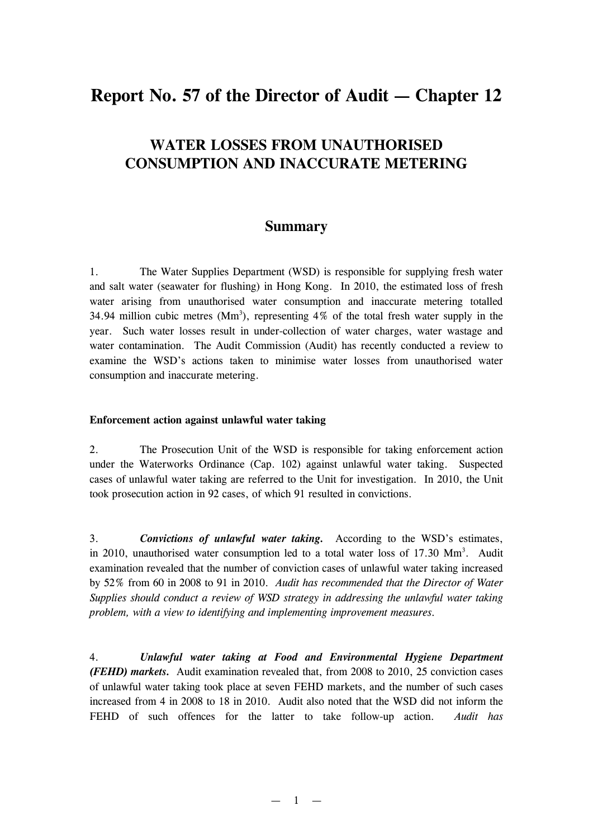# **Report No. 57 of the Director of Audit — Chapter 12**

## **WATER LOSSES FROM UNAUTHORISED CONSUMPTION AND INACCURATE METERING**

### **Summary**

1. The Water Supplies Department (WSD) is responsible for supplying fresh water and salt water (seawater for flushing) in Hong Kong. In 2010, the estimated loss of fresh water arising from unauthorised water consumption and inaccurate metering totalled 34.94 million cubic metres  $(Mm^3)$ , representing 4% of the total fresh water supply in the year. Such water losses result in under-collection of water charges, water wastage and water contamination. The Audit Commission (Audit) has recently conducted a review to examine the WSD's actions taken to minimise water losses from unauthorised water consumption and inaccurate metering.

#### **Enforcement action against unlawful water taking**

2. The Prosecution Unit of the WSD is responsible for taking enforcement action under the Waterworks Ordinance (Cap. 102) against unlawful water taking. Suspected cases of unlawful water taking are referred to the Unit for investigation. In 2010, the Unit took prosecution action in 92 cases, of which 91 resulted in convictions.

3. *Convictions of unlawful water taking.* According to the WSD's estimates, in 2010, unauthorised water consumption led to a total water loss of 17.30 Mm<sup>3</sup>. Audit examination revealed that the number of conviction cases of unlawful water taking increased by 52% from 60 in 2008 to 91 in 2010. *Audit has recommended that the Director of Water Supplies should conduct a review of WSD strategy in addressing the unlawful water taking problem, with a view to identifying and implementing improvement measures.* 

4. *Unlawful water taking at Food and Environmental Hygiene Department (FEHD) markets.* Audit examination revealed that, from 2008 to 2010, 25 conviction cases of unlawful water taking took place at seven FEHD markets, and the number of such cases increased from 4 in 2008 to 18 in 2010. Audit also noted that the WSD did not inform the FEHD of such offences for the latter to take follow-up action. *Audit has*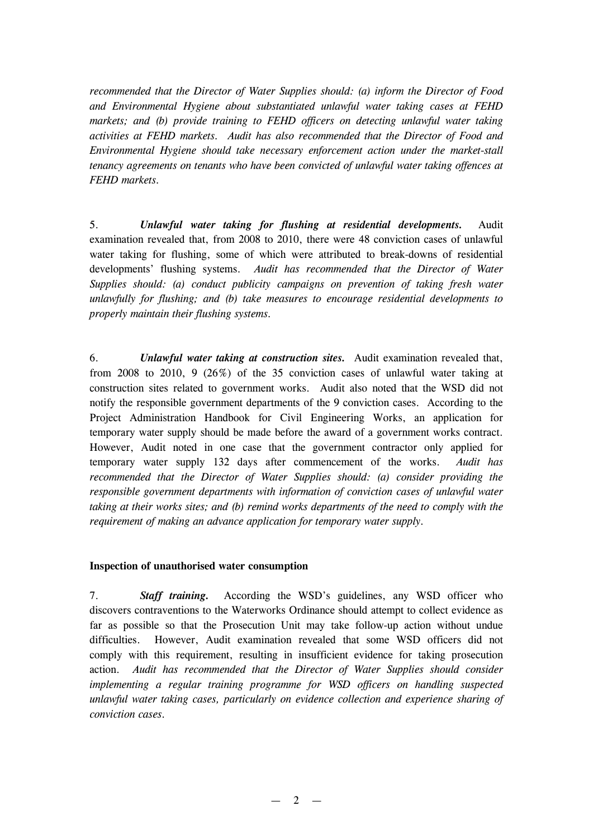*recommended that the Director of Water Supplies should: (a) inform the Director of Food and Environmental Hygiene about substantiated unlawful water taking cases at FEHD markets; and (b) provide training to FEHD officers on detecting unlawful water taking activities at FEHD markets. Audit has also recommended that the Director of Food and Environmental Hygiene should take necessary enforcement action under the market-stall tenancy agreements on tenants who have been convicted of unlawful water taking offences at FEHD markets.* 

5. *Unlawful water taking for flushing at residential developments.* Audit examination revealed that, from 2008 to 2010, there were 48 conviction cases of unlawful water taking for flushing, some of which were attributed to break-downs of residential developments' flushing systems. *Audit has recommended that the Director of Water Supplies should: (a) conduct publicity campaigns on prevention of taking fresh water unlawfully for flushing; and (b) take measures to encourage residential developments to properly maintain their flushing systems.* 

6. *Unlawful water taking at construction sites.* Audit examination revealed that, from 2008 to 2010, 9 (26%) of the 35 conviction cases of unlawful water taking at construction sites related to government works. Audit also noted that the WSD did not notify the responsible government departments of the 9 conviction cases. According to the Project Administration Handbook for Civil Engineering Works, an application for temporary water supply should be made before the award of a government works contract. However, Audit noted in one case that the government contractor only applied for temporary water supply 132 days after commencement of the works. *Audit has recommended that the Director of Water Supplies should: (a) consider providing the responsible government departments with information of conviction cases of unlawful water taking at their works sites; and (b) remind works departments of the need to comply with the requirement of making an advance application for temporary water supply.* 

#### **Inspection of unauthorised water consumption**

7. *Staff training.* According the WSD's guidelines, any WSD officer who discovers contraventions to the Waterworks Ordinance should attempt to collect evidence as far as possible so that the Prosecution Unit may take follow-up action without undue difficulties. However, Audit examination revealed that some WSD officers did not comply with this requirement, resulting in insufficient evidence for taking prosecution action. *Audit has recommended that the Director of Water Supplies should consider implementing a regular training programme for WSD officers on handling suspected unlawful water taking cases, particularly on evidence collection and experience sharing of conviction cases.*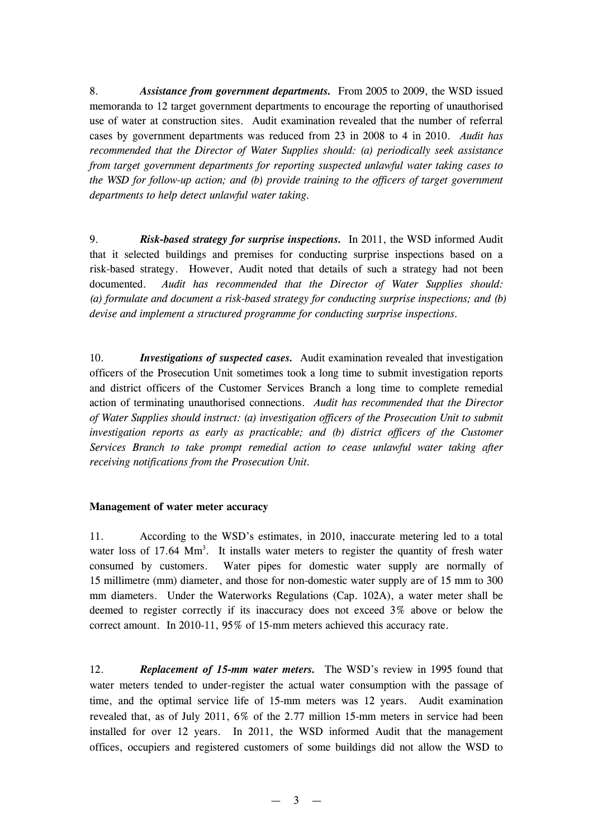8. *Assistance from government departments.* From 2005 to 2009, the WSD issued memoranda to 12 target government departments to encourage the reporting of unauthorised use of water at construction sites. Audit examination revealed that the number of referral cases by government departments was reduced from 23 in 2008 to 4 in 2010. *Audit has recommended that the Director of Water Supplies should: (a) periodically seek assistance from target government departments for reporting suspected unlawful water taking cases to the WSD for follow-up action; and (b) provide training to the officers of target government departments to help detect unlawful water taking.* 

9. *Risk-based strategy for surprise inspections.* In 2011, the WSD informed Audit that it selected buildings and premises for conducting surprise inspections based on a risk-based strategy. However, Audit noted that details of such a strategy had not been documented. *Audit has recommended that the Director of Water Supplies should: (a) formulate and document a risk-based strategy for conducting surprise inspections; and (b) devise and implement a structured programme for conducting surprise inspections.* 

10. *Investigations of suspected cases.* Audit examination revealed that investigation officers of the Prosecution Unit sometimes took a long time to submit investigation reports and district officers of the Customer Services Branch a long time to complete remedial action of terminating unauthorised connections. *Audit has recommended that the Director of Water Supplies should instruct: (a) investigation officers of the Prosecution Unit to submit investigation reports as early as practicable; and (b) district officers of the Customer Services Branch to take prompt remedial action to cease unlawful water taking after receiving notifications from the Prosecution Unit.* 

#### **Management of water meter accuracy**

11. According to the WSD's estimates, in 2010, inaccurate metering led to a total water loss of 17.64 Mm<sup>3</sup>. It installs water meters to register the quantity of fresh water consumed by customers. Water pipes for domestic water supply are normally of 15 millimetre (mm) diameter, and those for non-domestic water supply are of 15 mm to 300 mm diameters. Under the Waterworks Regulations (Cap. 102A), a water meter shall be deemed to register correctly if its inaccuracy does not exceed 3% above or below the correct amount. In 2010-11, 95% of 15-mm meters achieved this accuracy rate.

12. *Replacement of 15-mm water meters.* The WSD's review in 1995 found that water meters tended to under-register the actual water consumption with the passage of time, and the optimal service life of 15-mm meters was 12 years. Audit examination revealed that, as of July 2011, 6% of the 2.77 million 15-mm meters in service had been installed for over 12 years. In 2011, the WSD informed Audit that the management offices, occupiers and registered customers of some buildings did not allow the WSD to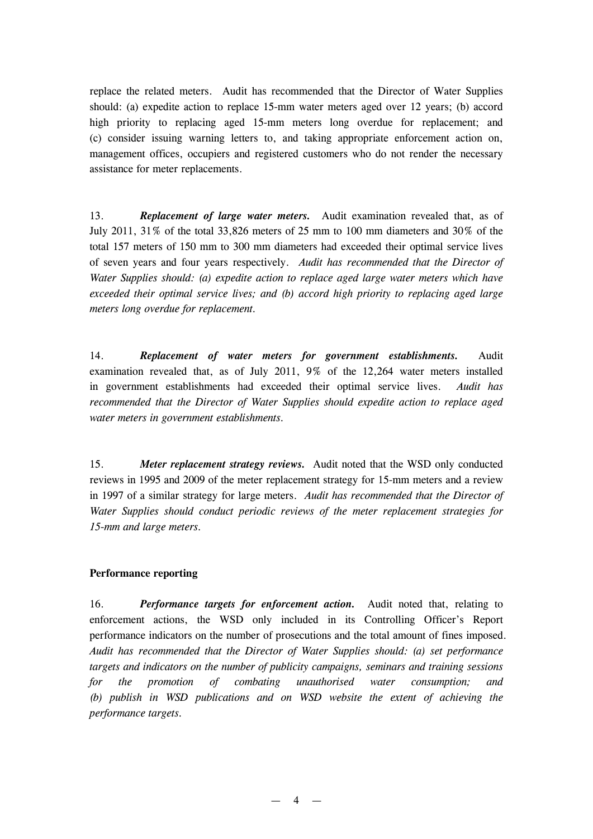replace the related meters. Audit has recommended that the Director of Water Supplies should: (a) expedite action to replace 15-mm water meters aged over 12 years; (b) accord high priority to replacing aged 15-mm meters long overdue for replacement; and (c) consider issuing warning letters to, and taking appropriate enforcement action on, management offices, occupiers and registered customers who do not render the necessary assistance for meter replacements.

13. *Replacement of large water meters.* Audit examination revealed that, as of July 2011, 31% of the total 33,826 meters of 25 mm to 100 mm diameters and 30% of the total 157 meters of 150 mm to 300 mm diameters had exceeded their optimal service lives of seven years and four years respectively. *Audit has recommended that the Director of Water Supplies should: (a) expedite action to replace aged large water meters which have exceeded their optimal service lives; and (b) accord high priority to replacing aged large meters long overdue for replacement.*

14. *Replacement of water meters for government establishments.* Audit examination revealed that, as of July 2011, 9% of the 12,264 water meters installed in government establishments had exceeded their optimal service lives. *Audit has recommended that the Director of Water Supplies should expedite action to replace aged water meters in government establishments.* 

15. *Meter replacement strategy reviews.* Audit noted that the WSD only conducted reviews in 1995 and 2009 of the meter replacement strategy for 15-mm meters and a review in 1997 of a similar strategy for large meters. *Audit has recommended that the Director of Water Supplies should conduct periodic reviews of the meter replacement strategies for 15-mm and large meters.* 

#### **Performance reporting**

16. *Performance targets for enforcement action.* Audit noted that, relating to enforcement actions, the WSD only included in its Controlling Officer's Report performance indicators on the number of prosecutions and the total amount of fines imposed. *Audit has recommended that the Director of Water Supplies should: (a) set performance targets and indicators on the number of publicity campaigns, seminars and training sessions for the promotion of combating unauthorised water consumption; and (b) publish in WSD publications and on WSD website the extent of achieving the performance targets.*